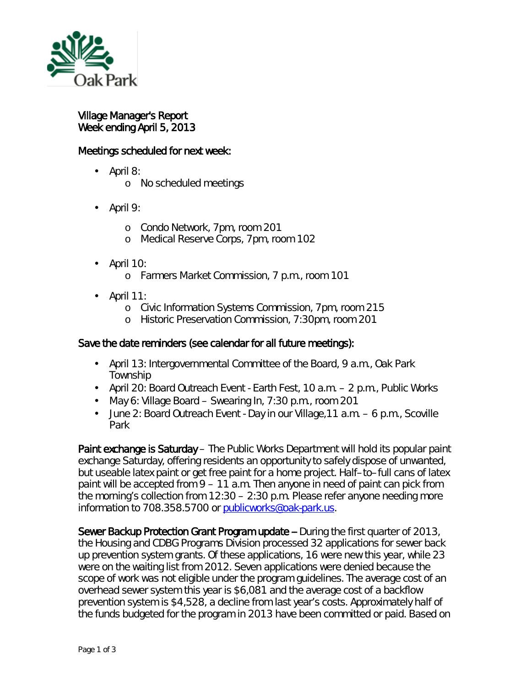

## Village Manager's Report Week ending April 5, 2013

## Meetings scheduled for next week:

- April 8: l,
	- o No scheduled meetings
- April 9: ä,
	- o Condo Network, 7pm, room 201
	- o Medical Reserve Corps, 7pm, room 102
- April 10: ä,
	- <sup>o</sup> Farmers Market Commission, 7 p.m., room 101
- April 11:
	- o Civic Information Systems Commission, 7pm, room 215
	- o Historic Preservation Commission, 7:30pm, room 201

## Save the date reminders (see calendar for all future meetings):

- April 13: Intergovernmental Committee of the Board, 9 a.m., Oak Park a. Township
- April 20: Board Outreach Event Earth Fest, 10 a.m. 2 p.m., Public Works
- May 6: Village Board Swearing In, 7:30 p.m., room 201
- $\mathbf{r}^{\mathrm{max}}$ June 2: Board Outreach Event - Day in our Village,11 a.m. – 6 p.m., Scoville Park

Paint exchange is Saturday – The Public Works Department will hold its popular paint exchange Saturday, offering residents an opportunity to safely dispose of unwanted, but useable latex paint or get free paint for a home project. Half–to–full cans of latex paint will be accepted from 9 – 11 a.m. Then anyone in need of paint can pick from the morning's collection from 12:30 – 2:30 p.m. Please refer anyone needing more information to 708.358.5700 or [publicworks@oak-park.us.](mailto:publicworks@oak-park.us)

Sewer Backup Protection Grant Program update -- During the first quarter of 2013, the Housing and CDBG Programs Division processed 32 applications for sewer back up prevention system grants. Of these applications, 16 were new this year, while 23 were on the waiting list from 2012. Seven applications were denied because the scope of work was not eligible under the program guidelines. The average cost of an overhead sewer system this year is \$6,081 and the average cost of a backflow prevention system is \$4,528, a decline from last year's costs. Approximately half of the funds budgeted for the program in 2013 have been committed or paid. Based on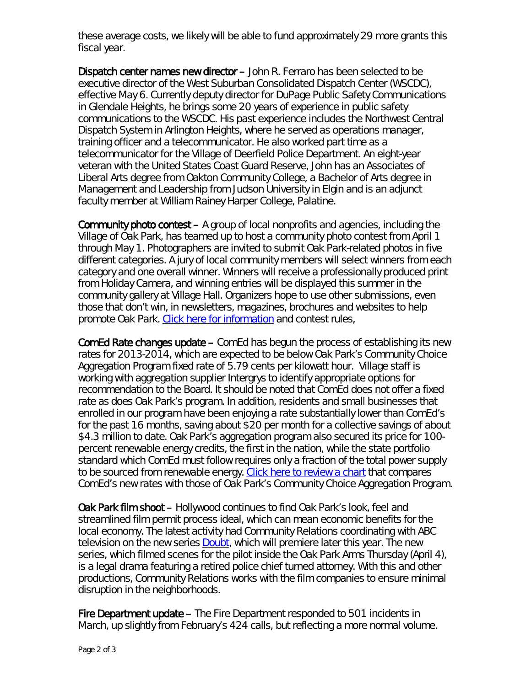these average costs, we likely will be able to fund approximately 29 more grants this fiscal year.

Dispatch center names new director – John R. Ferraro has been selected to be executive director of the West Suburban Consolidated Dispatch Center (WSCDC), effective May 6. Currently deputy director for DuPage Public Safety Communications in Glendale Heights, he brings some 20 years of experience in public safety communications to the WSCDC. His past experience includes the Northwest Central Dispatch System in Arlington Heights, where he served as operations manager, training officer and a telecommunicator. He also worked part time as a telecommunicator for the Village of Deerfield Police Department. An eight-year veteran with the United States Coast Guard Reserve, John has an Associates of Liberal Arts degree from Oakton Community College, a Bachelor of Arts degree in Management and Leadership from Judson University in Elgin and is an adjunct faculty member at William Rainey Harper College, Palatine.

**Community photo contest – A** group of local nonprofits and agencies, including the Village of Oak Park, has teamed up to host a community photo contest from April 1 through May 1. Photographers are invited to submit Oak Park-related photos in five different categories. A jury of local community members will select winners from each category and one overall winner. Winners will receive a professionally produced print from Holiday Camera, and winning entries will be displayed this summer in the community gallery at Village Hall. Organizers hope to use other submissions, even those that don't win, in newsletters, magazines, brochures and websites to help promote Oak Park. [Click here for information](http://www.oakparkdevelopmentcorporation.com/photocontest/) and contest rules,

ComEd Rate changes update – ComEd has begun the process of establishing its new rates for 2013-2014, which are expected to be below Oak Park's Community Choice Aggregation Program fixed rate of 5.79 cents per kilowatt hour. Village staff is working with aggregation supplier Intergrys to identify appropriate options for recommendation to the Board. It should be noted that ComEd does not offer a fixed rate as does Oak Park's program. In addition, residents and small businesses that enrolled in our program have been enjoying a rate substantially lower than ComEd's for the past 16 months, saving about \$20 per month for a collective savings of about \$4.3 million to date. Oak Park's aggregation program also secured its price for 100 percent renewable energy credits, the first in the nation, while the state portfolio standard which ComEd must follow requires only a fraction of the total power supply to be sourced from renewable energy. [Click here to review a chart](http://www.oak-park.us/456678891/04.04.13-ComEd%20Rate%20Change%20chart.pdf) that compares ComEd's new rates with those of Oak Park's Community Choice Aggregation Program.

Oak Park film shoot – Hollywood continues to find Oak Park's look, feel and streamlined film permit process ideal, which can mean economic benefits for the local economy. The latest activity had Community Relations coordinating with ABC television on the new series **Doubt**, which will premiere later this year. The new series, which filmed scenes for the pilot inside the Oak Park Arms Thursday (April 4), is a legal drama featuring a retired police chief turned attorney. With this and other productions, Community Relations works with the film companies to ensure minimal disruption in the neighborhoods.

Fire Department update – The Fire Department responded to 501 incidents in March, up slightly from February's 424 calls, but reflecting a more normal volume.